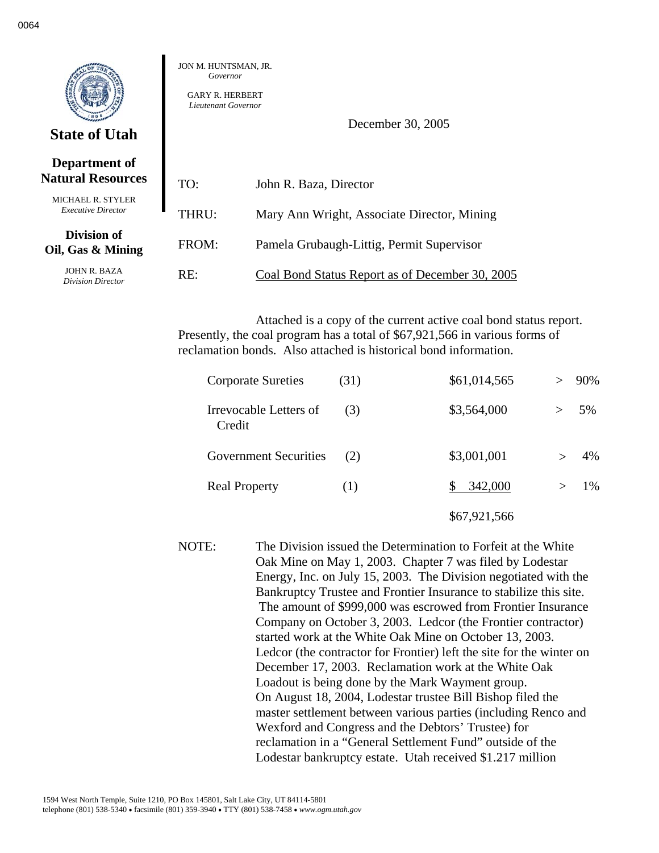|                                           | <b>JON M. HUNTSM</b><br>Governo.<br><b>GARY R. HER</b><br>Lieutenant Go |
|-------------------------------------------|-------------------------------------------------------------------------|
| <b>State of Utah</b>                      |                                                                         |
| Department of<br><b>Natural Resources</b> | TO:                                                                     |

MAN. IR. *Governor* 

> RBERT  $vernor$

> > December 30, 2005

| <b>Natural Resources</b>                              | TO:   | John R. Baza, Director                          |
|-------------------------------------------------------|-------|-------------------------------------------------|
| <b>MICHAEL R. STYLER</b><br><b>Executive Director</b> | THRU: | Mary Ann Wright, Associate Director, Mining     |
| Division of<br>Oil, Gas & Mining                      | FROM: | Pamela Grubaugh-Littig, Permit Supervisor       |
| JOHN R. BAZA<br>Division Director                     | RE:   | Coal Bond Status Report as of December 30, 2005 |

Attached is a copy of the current active coal bond status report. Presently, the coal program has a total of \$67,921,566 in various forms of reclamation bonds. Also attached is historical bond information.

| <b>Corporate Sureties</b>        | (31) | \$61,014,565 |        | 90% |
|----------------------------------|------|--------------|--------|-----|
| Irrevocable Letters of<br>Credit | (3)  | \$3,564,000  | $\geq$ | 5%  |
| <b>Government Securities</b>     | (2)  | \$3,001,001  |        | 4%  |
| <b>Real Property</b>             | (1)  | 342,000      |        | 1%  |
|                                  |      | \$67,921,566 |        |     |

NOTE: The Division issued the Determination to Forfeit at the White Oak Mine on May 1, 2003. Chapter 7 was filed by Lodestar Energy, Inc. on July 15, 2003. The Division negotiated with the Bankruptcy Trustee and Frontier Insurance to stabilize this site. The amount of \$999,000 was escrowed from Frontier Insurance Company on October 3, 2003. Ledcor (the Frontier contractor) started work at the White Oak Mine on October 13, 2003. Ledcor (the contractor for Frontier) left the site for the winter on December 17, 2003. Reclamation work at the White Oak Loadout is being done by the Mark Wayment group. On August 18, 2004, Lodestar trustee Bill Bishop filed the master settlement between various parties (including Renco and Wexford and Congress and the Debtors' Trustee) for reclamation in a "General Settlement Fund" outside of the Lodestar bankruptcy estate. Utah received \$1.217 million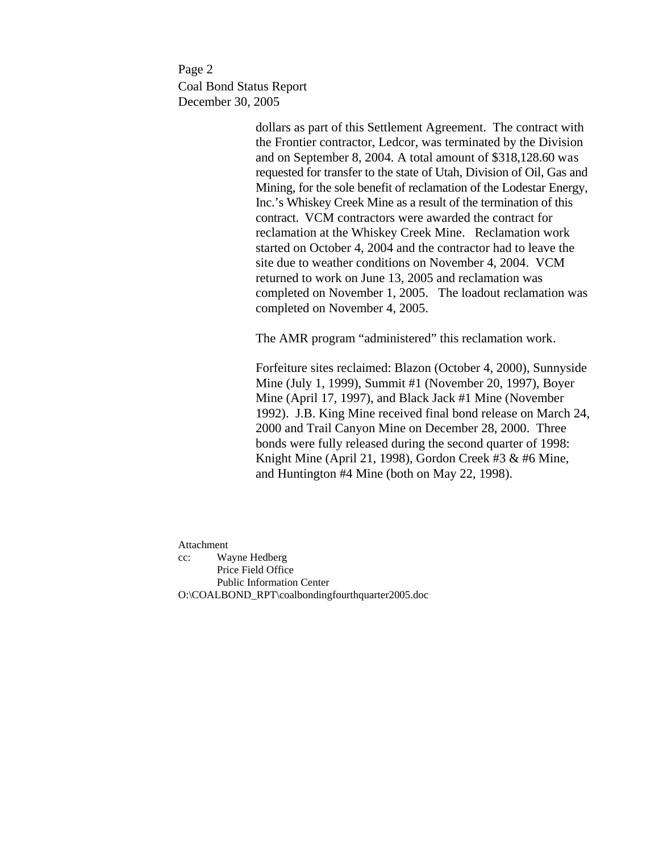Page 2 Coal Bond Status Report December 30, 2005

> dollars as part of this Settlement Agreement. The contract with the Frontier contractor, Ledcor, was terminated by the Division and on September 8, 2004. A total amount of \$318,128.60 was requested for transfer to the state of Utah, Division of Oil, Gas and Mining, for the sole benefit of reclamation of the Lodestar Energy, Inc.'s Whiskey Creek Mine as a result of the termination of this contract. VCM contractors were awarded the contract for reclamation at the Whiskey Creek Mine. Reclamation work started on October 4, 2004 and the contractor had to leave the site due to weather conditions on November 4, 2004. VCM returned to work on June 13, 2005 and reclamation was completed on November 1, 2005. The loadout reclamation was completed on November 4, 2005.

The AMR program "administered" this reclamation work.

Forfeiture sites reclaimed: Blazon (October 4, 2000), Sunnyside Mine (July 1, 1999), Summit #1 (November 20, 1997), Boyer Mine (April 17, 1997), and Black Jack #1 Mine (November 1992). J.B. King Mine received final bond release on March 24, 2000 and Trail Canyon Mine on December 28, 2000. Three bonds were fully released during the second quarter of 1998: Knight Mine (April 21, 1998), Gordon Creek #3 & #6 Mine, and Huntington #4 Mine (both on May 22, 1998).

Attachment cc: Wayne Hedberg Price Field Office Public Information Center O:\COALBOND\_RPT\coalbondingfourthquarter2005.doc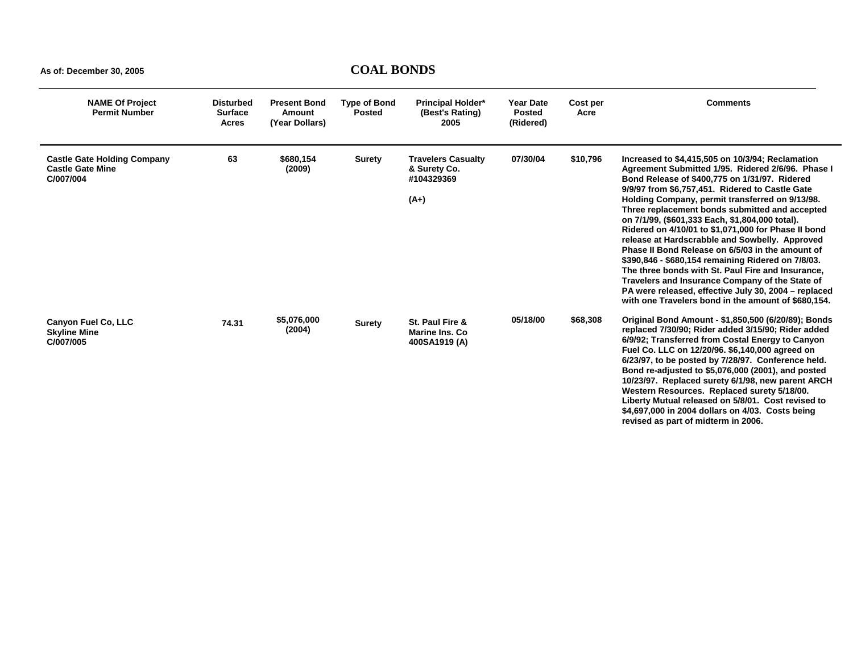| <b>NAME Of Project</b><br><b>Permit Number</b>                             | <b>Disturbed</b><br><b>Surface</b><br>Acres | <b>Present Bond</b><br>Amount<br>(Year Dollars) | <b>Type of Bond</b><br><b>Posted</b> | <b>Principal Holder*</b><br>(Best's Rating)<br>2005               | <b>Year Date</b><br><b>Posted</b><br>(Ridered) | Cost per<br>Acre | <b>Comments</b>                                                                                                                                                                                                                                                                                                                                                                                                                                                                                                                                                                                                                                                                                                                                                                                             |
|----------------------------------------------------------------------------|---------------------------------------------|-------------------------------------------------|--------------------------------------|-------------------------------------------------------------------|------------------------------------------------|------------------|-------------------------------------------------------------------------------------------------------------------------------------------------------------------------------------------------------------------------------------------------------------------------------------------------------------------------------------------------------------------------------------------------------------------------------------------------------------------------------------------------------------------------------------------------------------------------------------------------------------------------------------------------------------------------------------------------------------------------------------------------------------------------------------------------------------|
| <b>Castle Gate Holding Company</b><br><b>Castle Gate Mine</b><br>C/007/004 | 63                                          | \$680,154<br>(2009)                             | <b>Surety</b>                        | <b>Travelers Casualty</b><br>& Surety Co.<br>#104329369<br>$(A+)$ | 07/30/04                                       | \$10,796         | Increased to \$4,415,505 on 10/3/94; Reclamation<br>Agreement Submitted 1/95. Ridered 2/6/96. Phase I<br>Bond Release of \$400,775 on 1/31/97. Ridered<br>9/9/97 from \$6,757,451. Ridered to Castle Gate<br>Holding Company, permit transferred on 9/13/98.<br>Three replacement bonds submitted and accepted<br>on 7/1/99, (\$601,333 Each, \$1,804,000 total).<br>Ridered on 4/10/01 to \$1,071,000 for Phase II bond<br>release at Hardscrabble and Sowbelly. Approved<br>Phase II Bond Release on 6/5/03 in the amount of<br>\$390,846 - \$680,154 remaining Ridered on 7/8/03.<br>The three bonds with St. Paul Fire and Insurance.<br>Travelers and Insurance Company of the State of<br>PA were released, effective July 30, 2004 - replaced<br>with one Travelers bond in the amount of \$680.154. |
| Canyon Fuel Co, LLC<br><b>Skyline Mine</b><br>C/007/005                    | 74.31                                       | \$5,076,000<br>(2004)                           | Surety                               | St. Paul Fire &<br>Marine Ins. Co.<br>400SA1919 (A)               | 05/18/00                                       | \$68,308         | Original Bond Amount - \$1,850,500 (6/20/89); Bonds<br>replaced 7/30/90; Rider added 3/15/90; Rider added<br>6/9/92; Transferred from Costal Energy to Canyon<br>Fuel Co. LLC on 12/20/96. \$6,140,000 agreed on<br>6/23/97, to be posted by 7/28/97. Conference held.<br>Bond re-adjusted to \$5,076,000 (2001), and posted<br>10/23/97. Replaced surety 6/1/98, new parent ARCH<br>Western Resources. Replaced surety 5/18/00.<br>Liberty Mutual released on 5/8/01. Cost revised to<br>\$4,697,000 in 2004 dollars on 4/03. Costs being<br>revised as part of midterm in 2006.                                                                                                                                                                                                                           |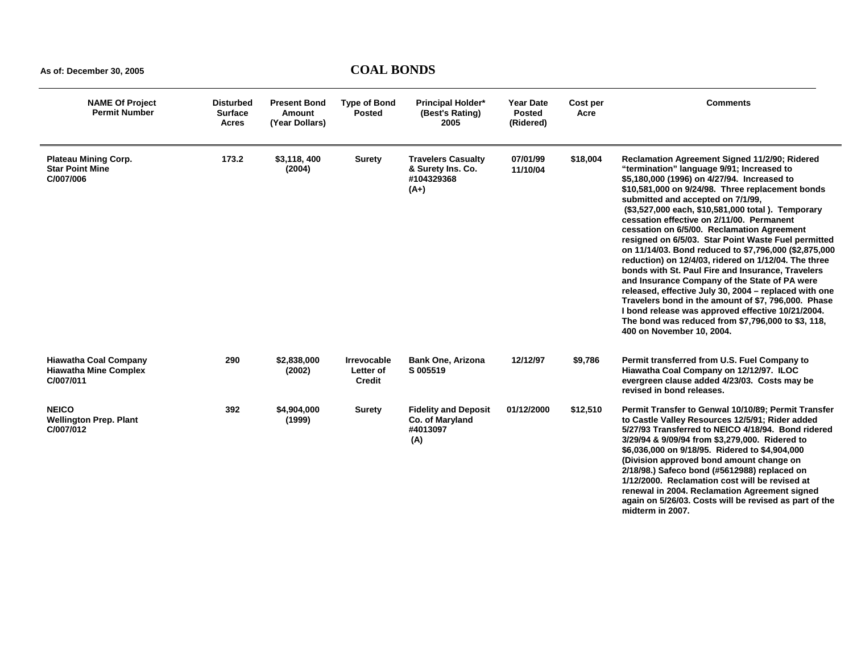| <b>NAME Of Project</b><br><b>Permit Number</b>                            | Disturbed<br><b>Surface</b><br>Acres | <b>Present Bond</b><br><b>Amount</b><br>(Year Dollars) | <b>Type of Bond</b><br><b>Posted</b>             | <b>Principal Holder*</b><br>(Best's Rating)<br>2005                    | <b>Year Date</b><br><b>Posted</b><br>(Ridered) | Cost per<br>Acre | <b>Comments</b>                                                                                                                                                                                                                                                                                                                                                                                                                                                                                                                                                                                                                                                                                                                                                                                                                                                                                                          |
|---------------------------------------------------------------------------|--------------------------------------|--------------------------------------------------------|--------------------------------------------------|------------------------------------------------------------------------|------------------------------------------------|------------------|--------------------------------------------------------------------------------------------------------------------------------------------------------------------------------------------------------------------------------------------------------------------------------------------------------------------------------------------------------------------------------------------------------------------------------------------------------------------------------------------------------------------------------------------------------------------------------------------------------------------------------------------------------------------------------------------------------------------------------------------------------------------------------------------------------------------------------------------------------------------------------------------------------------------------|
| <b>Plateau Mining Corp.</b><br><b>Star Point Mine</b><br>C/007/006        | 173.2                                | \$3,118,400<br>(2004)                                  | <b>Surety</b>                                    | <b>Travelers Casualty</b><br>& Surety Ins. Co.<br>#104329368<br>$(A+)$ | 07/01/99<br>11/10/04                           | \$18,004         | Reclamation Agreement Signed 11/2/90; Ridered<br>"termination" language 9/91; Increased to<br>\$5,180,000 (1996) on 4/27/94. Increased to<br>\$10,581,000 on 9/24/98. Three replacement bonds<br>submitted and accepted on 7/1/99,<br>(\$3,527,000 each, \$10,581,000 total). Temporary<br>cessation effective on 2/11/00. Permanent<br>cessation on 6/5/00. Reclamation Agreement<br>resigned on 6/5/03. Star Point Waste Fuel permitted<br>on 11/14/03. Bond reduced to \$7,796,000 (\$2,875,000<br>reduction) on 12/4/03, ridered on 1/12/04. The three<br>bonds with St. Paul Fire and Insurance, Travelers<br>and Insurance Company of the State of PA were<br>released, effective July 30, 2004 - replaced with one<br>Travelers bond in the amount of \$7, 796,000. Phase<br>I bond release was approved effective 10/21/2004.<br>The bond was reduced from \$7,796,000 to \$3, 118,<br>400 on November 10, 2004. |
| <b>Hiawatha Coal Company</b><br><b>Hiawatha Mine Complex</b><br>C/007/011 | 290                                  | \$2,838,000<br>(2002)                                  | <b>Irrevocable</b><br>Letter of<br><b>Credit</b> | Bank One, Arizona<br>S 005519                                          | 12/12/97                                       | \$9,786          | Permit transferred from U.S. Fuel Company to<br>Hiawatha Coal Company on 12/12/97. ILOC<br>evergreen clause added 4/23/03. Costs may be<br>revised in bond releases.                                                                                                                                                                                                                                                                                                                                                                                                                                                                                                                                                                                                                                                                                                                                                     |
| <b>NEICO</b><br><b>Wellington Prep. Plant</b><br>C/007/012                | 392                                  | \$4,904,000<br>(1999)                                  | <b>Surety</b>                                    | <b>Fidelity and Deposit</b><br>Co. of Maryland<br>#4013097<br>(A)      | 01/12/2000                                     | \$12,510         | Permit Transfer to Genwal 10/10/89; Permit Transfer<br>to Castle Valley Resources 12/5/91; Rider added<br>5/27/93 Transferred to NEICO 4/18/94. Bond ridered<br>3/29/94 & 9/09/94 from \$3,279,000. Ridered to<br>\$6,036,000 on 9/18/95. Ridered to \$4,904,000<br>(Division approved bond amount change on<br>2/18/98.) Safeco bond (#5612988) replaced on<br>1/12/2000. Reclamation cost will be revised at<br>renewal in 2004. Reclamation Agreement signed<br>again on 5/26/03. Costs will be revised as part of the<br>midterm in 2007.                                                                                                                                                                                                                                                                                                                                                                            |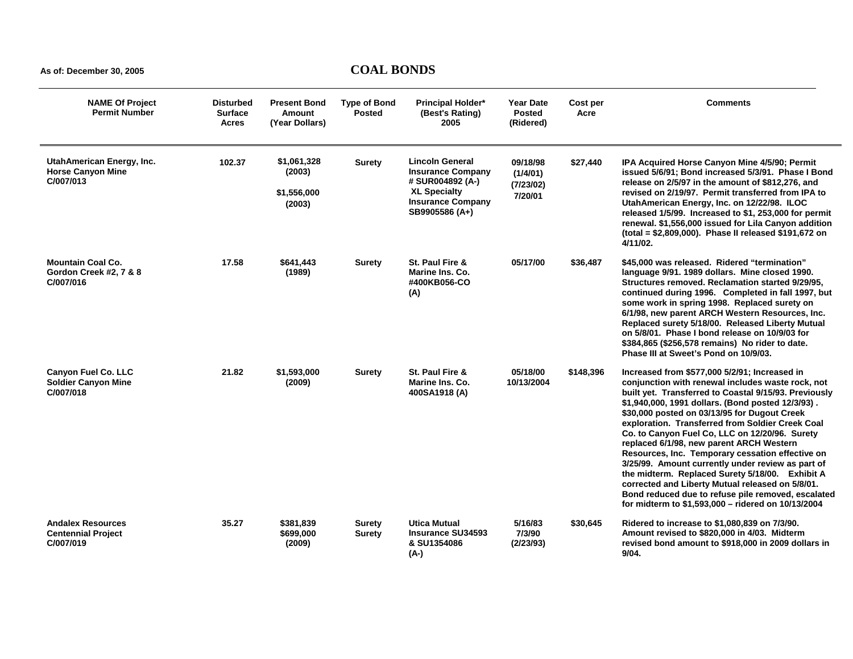| <b>NAME Of Project</b><br><b>Permit Number</b>                        | <b>Disturbed</b><br><b>Surface</b><br><b>Acres</b> | <b>Present Bond</b><br>Amount<br>(Year Dollars) | <b>Type of Bond</b><br><b>Posted</b> | <b>Principal Holder*</b><br>(Best's Rating)<br>2005                                                                                         | <b>Year Date</b><br><b>Posted</b><br>(Ridered) | Cost per<br>Acre | <b>Comments</b>                                                                                                                                                                                                                                                                                                                                                                                                                                                                                                                                                                                                                                                                                                                                |
|-----------------------------------------------------------------------|----------------------------------------------------|-------------------------------------------------|--------------------------------------|---------------------------------------------------------------------------------------------------------------------------------------------|------------------------------------------------|------------------|------------------------------------------------------------------------------------------------------------------------------------------------------------------------------------------------------------------------------------------------------------------------------------------------------------------------------------------------------------------------------------------------------------------------------------------------------------------------------------------------------------------------------------------------------------------------------------------------------------------------------------------------------------------------------------------------------------------------------------------------|
| UtahAmerican Energy, Inc.<br><b>Horse Canyon Mine</b><br>C/007/013    | 102.37                                             | \$1.061.328<br>(2003)<br>\$1,556,000<br>(2003)  | <b>Surety</b>                        | <b>Lincoln General</b><br><b>Insurance Company</b><br># SUR004892 (A-)<br><b>XL Specialty</b><br><b>Insurance Company</b><br>SB9905586 (A+) | 09/18/98<br>(1/4/01)<br>(7/23/02)<br>7/20/01   | \$27,440         | IPA Acquired Horse Canyon Mine 4/5/90; Permit<br>issued 5/6/91; Bond increased 5/3/91. Phase I Bond<br>release on 2/5/97 in the amount of \$812,276, and<br>revised on 2/19/97. Permit transferred from IPA to<br>UtahAmerican Energy, Inc. on 12/22/98. ILOC<br>released 1/5/99. Increased to \$1, 253,000 for permit<br>renewal. \$1,556,000 issued for Lila Canyon addition<br>(total = \$2,809,000). Phase II released \$191,672 on<br>4/11/02.                                                                                                                                                                                                                                                                                            |
| <b>Mountain Coal Co.</b><br>Gordon Creek #2, 7 & 8<br>C/007/016       | 17.58                                              | \$641,443<br>(1989)                             | <b>Surety</b>                        | St. Paul Fire &<br>Marine Ins. Co.<br>#400KB056-CO<br>(A)                                                                                   | 05/17/00                                       | \$36,487         | \$45,000 was released. Ridered "termination"<br>language 9/91. 1989 dollars. Mine closed 1990.<br>Structures removed. Reclamation started 9/29/95,<br>continued during 1996. Completed in fall 1997, but<br>some work in spring 1998. Replaced surety on<br>6/1/98, new parent ARCH Western Resources, Inc.<br>Replaced surety 5/18/00. Released Liberty Mutual<br>on 5/8/01. Phase I bond release on 10/9/03 for<br>\$384,865 (\$256,578 remains) No rider to date.<br>Phase III at Sweet's Pond on 10/9/03.                                                                                                                                                                                                                                  |
| <b>Canyon Fuel Co. LLC</b><br><b>Soldier Canyon Mine</b><br>C/007/018 | 21.82                                              | \$1,593,000<br>(2009)                           | Surety                               | St. Paul Fire &<br>Marine Ins. Co.<br>400SA1918 (A)                                                                                         | 05/18/00<br>10/13/2004                         | \$148,396        | Increased from \$577,000 5/2/91; Increased in<br>conjunction with renewal includes waste rock, not<br>built yet. Transferred to Coastal 9/15/93. Previously<br>\$1,940,000, 1991 dollars. (Bond posted 12/3/93).<br>\$30,000 posted on 03/13/95 for Dugout Creek<br>exploration. Transferred from Soldier Creek Coal<br>Co. to Canyon Fuel Co, LLC on 12/20/96. Surety<br>replaced 6/1/98, new parent ARCH Western<br>Resources, Inc. Temporary cessation effective on<br>3/25/99. Amount currently under review as part of<br>the midterm. Replaced Surety 5/18/00. Exhibit A<br>corrected and Liberty Mutual released on 5/8/01.<br>Bond reduced due to refuse pile removed, escalated<br>for midterm to \$1,593,000 - ridered on 10/13/2004 |
| <b>Andalex Resources</b><br><b>Centennial Project</b><br>C/007/019    | 35.27                                              | \$381,839<br>\$699,000<br>(2009)                | Surety<br>Surety                     | <b>Utica Mutual</b><br><b>Insurance SU34593</b><br>& SU1354086<br>$(A-)$                                                                    | 5/16/83<br>7/3/90<br>(2/23/93)                 | \$30,645         | Ridered to increase to \$1,080,839 on 7/3/90.<br>Amount revised to \$820,000 in 4/03. Midterm<br>revised bond amount to \$918,000 in 2009 dollars in<br>9/04.                                                                                                                                                                                                                                                                                                                                                                                                                                                                                                                                                                                  |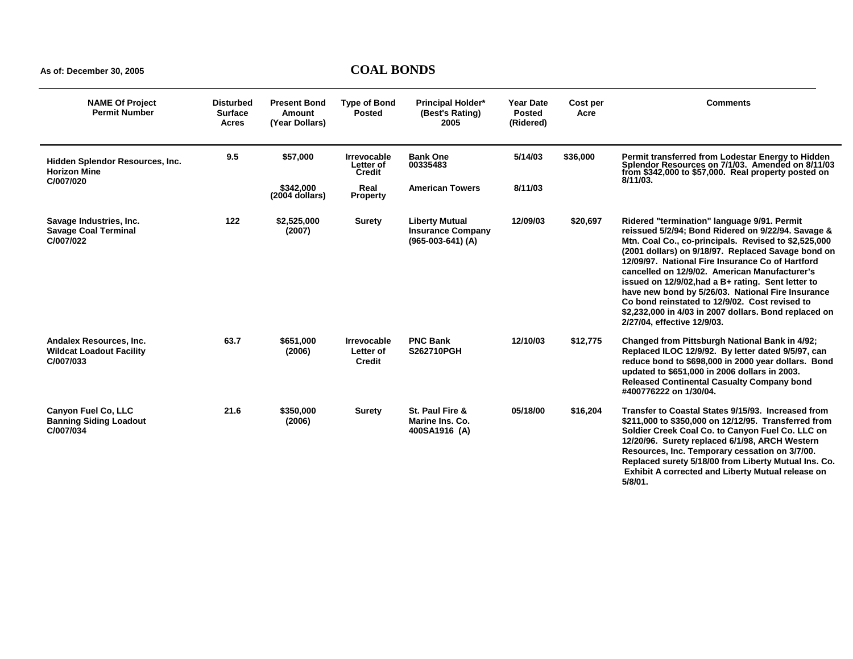| <b>NAME Of Project</b><br><b>Permit Number</b>                          | <b>Disturbed</b><br><b>Surface</b><br><b>Acres</b> | <b>Present Bond</b><br>Amount<br>(Year Dollars) | <b>Type of Bond</b><br><b>Posted</b>             | <b>Principal Holder*</b><br>(Best's Rating)<br>2005                      | <b>Year Date</b><br><b>Posted</b><br>(Ridered) | Cost per<br>Acre | <b>Comments</b>                                                                                                                                                                                                                                                                                                                                                                                                                                                                                                                                                           |
|-------------------------------------------------------------------------|----------------------------------------------------|-------------------------------------------------|--------------------------------------------------|--------------------------------------------------------------------------|------------------------------------------------|------------------|---------------------------------------------------------------------------------------------------------------------------------------------------------------------------------------------------------------------------------------------------------------------------------------------------------------------------------------------------------------------------------------------------------------------------------------------------------------------------------------------------------------------------------------------------------------------------|
| Hidden Splendor Resources, Inc.<br><b>Horizon Mine</b>                  | 9.5                                                | \$57,000                                        | <b>Irrevocable</b><br>Letter of<br><b>Credit</b> | <b>Bank One</b><br>00335483                                              | 5/14/03                                        | \$36,000         | Permit transferred from Lodestar Energy to Hidden<br>Splendor Resources on 7/1/03. Amended on 8/11/03<br>from \$342,000 to \$57,000. Real property posted on<br>8/11/03.                                                                                                                                                                                                                                                                                                                                                                                                  |
| C/007/020                                                               |                                                    | \$342.000<br>$(2004$ dollars)                   | Real<br><b>Property</b>                          | <b>American Towers</b>                                                   | 8/11/03                                        |                  |                                                                                                                                                                                                                                                                                                                                                                                                                                                                                                                                                                           |
| Savage Industries, Inc.<br><b>Savage Coal Terminal</b><br>C/007/022     | 122                                                | \$2,525,000<br>(2007)                           | <b>Surety</b>                                    | <b>Liberty Mutual</b><br><b>Insurance Company</b><br>$(965-003-641)$ (A) | 12/09/03                                       | \$20,697         | Ridered "termination" language 9/91. Permit<br>reissued 5/2/94; Bond Ridered on 9/22/94. Savage &<br>Mtn. Coal Co., co-principals. Revised to \$2,525,000<br>(2001 dollars) on 9/18/97. Replaced Savage bond on<br>12/09/97. National Fire Insurance Co of Hartford<br>cancelled on 12/9/02. American Manufacturer's<br>issued on 12/9/02, had a B+ rating. Sent letter to<br>have new bond by 5/26/03. National Fire Insurance<br>Co bond reinstated to 12/9/02. Cost revised to<br>\$2,232,000 in 4/03 in 2007 dollars. Bond replaced on<br>2/27/04, effective 12/9/03. |
| Andalex Resources, Inc.<br><b>Wildcat Loadout Facility</b><br>C/007/033 | 63.7                                               | \$651,000<br>(2006)                             | <b>Irrevocable</b><br>Letter of<br>Credit        | <b>PNC Bank</b><br><b>S262710PGH</b>                                     | 12/10/03                                       | \$12,775         | Changed from Pittsburgh National Bank in 4/92;<br>Replaced ILOC 12/9/92. By letter dated 9/5/97, can<br>reduce bond to \$698,000 in 2000 year dollars. Bond<br>updated to \$651,000 in 2006 dollars in 2003.<br><b>Released Continental Casualty Company bond</b><br>#400776222 on 1/30/04.                                                                                                                                                                                                                                                                               |
| Canyon Fuel Co, LLC<br><b>Banning Siding Loadout</b><br>C/007/034       | 21.6                                               | \$350,000<br>(2006)                             | <b>Surety</b>                                    | St. Paul Fire &<br>Marine Ins. Co.<br>400SA1916 (A)                      | 05/18/00                                       | \$16,204         | Transfer to Coastal States 9/15/93. Increased from<br>\$211,000 to \$350,000 on 12/12/95. Transferred from<br>Soldier Creek Coal Co. to Canyon Fuel Co. LLC on<br>12/20/96. Surety replaced 6/1/98, ARCH Western<br>Resources, Inc. Temporary cessation on 3/7/00.<br>Replaced surety 5/18/00 from Liberty Mutual Ins. Co.<br>Exhibit A corrected and Liberty Mutual release on<br>5/8/01.                                                                                                                                                                                |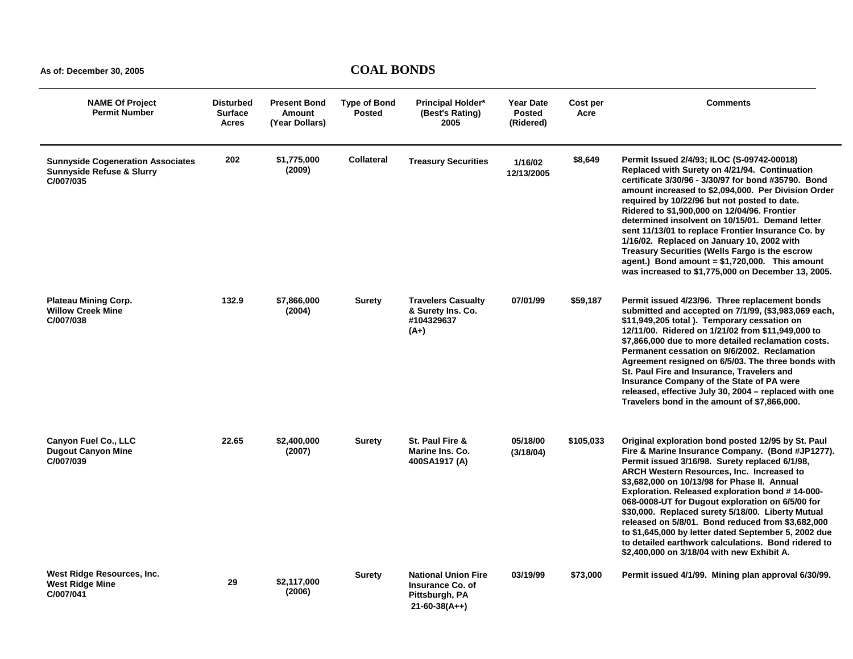| <b>NAME Of Project</b><br><b>Permit Number</b>                                                | <b>Disturbed</b><br><b>Surface</b><br>Acres | <b>Present Bond</b><br><b>Amount</b><br>(Year Dollars) | <b>Type of Bond</b><br><b>Posted</b> | <b>Principal Holder*</b><br>(Best's Rating)<br>2005                                 | <b>Year Date</b><br><b>Posted</b><br>(Ridered) | Cost per<br>Acre | <b>Comments</b>                                                                                                                                                                                                                                                                                                                                                                                                                                                                                                                                                                                                                            |
|-----------------------------------------------------------------------------------------------|---------------------------------------------|--------------------------------------------------------|--------------------------------------|-------------------------------------------------------------------------------------|------------------------------------------------|------------------|--------------------------------------------------------------------------------------------------------------------------------------------------------------------------------------------------------------------------------------------------------------------------------------------------------------------------------------------------------------------------------------------------------------------------------------------------------------------------------------------------------------------------------------------------------------------------------------------------------------------------------------------|
| <b>Sunnyside Cogeneration Associates</b><br><b>Sunnyside Refuse &amp; Slurry</b><br>C/007/035 | 202                                         | \$1,775,000<br>(2009)                                  | Collateral                           | <b>Treasury Securities</b>                                                          | 1/16/02<br>12/13/2005                          | \$8,649          | Permit Issued 2/4/93; ILOC (S-09742-00018)<br>Replaced with Surety on 4/21/94. Continuation<br>certificate 3/30/96 - 3/30/97 for bond #35790. Bond<br>amount increased to \$2,094,000. Per Division Order<br>required by 10/22/96 but not posted to date.<br>Ridered to \$1,900,000 on 12/04/96. Frontier<br>determined insolvent on 10/15/01. Demand letter<br>sent 11/13/01 to replace Frontier Insurance Co. by<br>1/16/02. Replaced on January 10, 2002 with<br>Treasury Securities (Wells Fargo is the escrow<br>agent.) Bond amount = $$1,720,000$ . This amount<br>was increased to \$1,775,000 on December 13, 2005.               |
| <b>Plateau Mining Corp.</b><br><b>Willow Creek Mine</b><br>C/007/038                          | 132.9                                       | \$7,866,000<br>(2004)                                  | Surety                               | <b>Travelers Casualty</b><br>& Surety Ins. Co.<br>#104329637<br>$(A+)$              | 07/01/99                                       | \$59,187         | Permit issued 4/23/96. Three replacement bonds<br>submitted and accepted on 7/1/99, (\$3,983,069 each,<br>\$11,949,205 total ). Temporary cessation on<br>12/11/00. Ridered on 1/21/02 from \$11,949,000 to<br>\$7,866,000 due to more detailed reclamation costs.<br>Permanent cessation on 9/6/2002. Reclamation<br>Agreement resigned on 6/5/03. The three bonds with<br>St. Paul Fire and Insurance, Travelers and<br>Insurance Company of the State of PA were<br>released, effective July 30, 2004 - replaced with one<br>Travelers bond in the amount of \$7,866,000.                                                               |
| Canyon Fuel Co., LLC<br><b>Dugout Canyon Mine</b><br>C/007/039                                | 22.65                                       | \$2,400,000<br>(2007)                                  | <b>Surety</b>                        | St. Paul Fire &<br>Marine Ins. Co.<br>400SA1917 (A)                                 | 05/18/00<br>(3/18/04)                          | \$105,033        | Original exploration bond posted 12/95 by St. Paul<br>Fire & Marine Insurance Company. (Bond #JP1277).<br>Permit issued 3/16/98. Surety replaced 6/1/98,<br><b>ARCH Western Resources, Inc. Increased to</b><br>\$3,682,000 on 10/13/98 for Phase II. Annual<br>Exploration. Released exploration bond #14-000-<br>068-0008-UT for Dugout exploration on 6/5/00 for<br>\$30,000. Replaced surety 5/18/00. Liberty Mutual<br>released on 5/8/01. Bond reduced from \$3,682,000<br>to \$1,645,000 by letter dated September 5, 2002 due<br>to detailed earthwork calculations. Bond ridered to<br>\$2,400,000 on 3/18/04 with new Exhibit A. |
| West Ridge Resources, Inc.<br><b>West Ridge Mine</b><br>C/007/041                             | 29                                          | \$2,117,000<br>(2006)                                  | Surety                               | <b>National Union Fire</b><br>Insurance Co. of<br>Pittsburgh, PA<br>$21-60-38(A++)$ | 03/19/99                                       | \$73,000         | Permit issued 4/1/99. Mining plan approval 6/30/99.                                                                                                                                                                                                                                                                                                                                                                                                                                                                                                                                                                                        |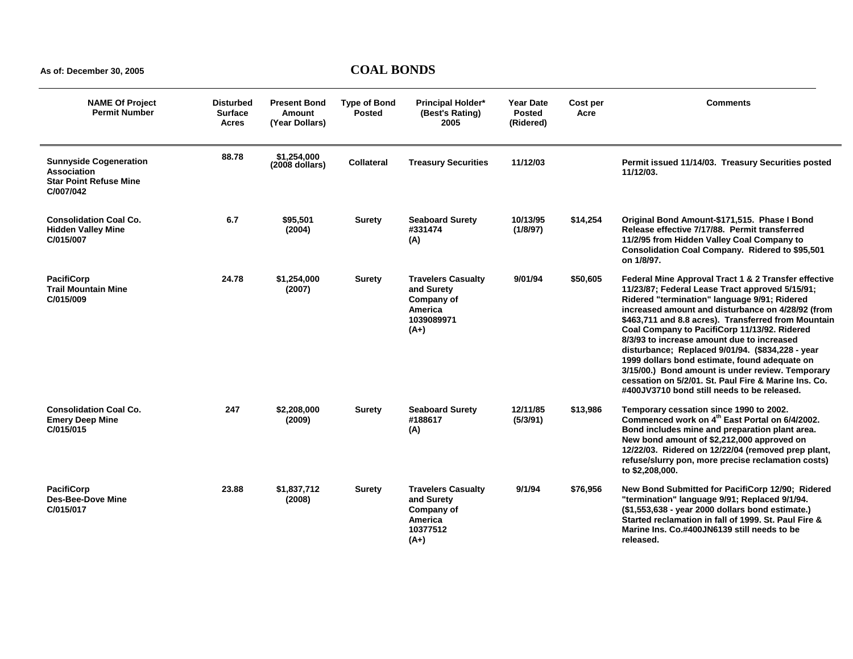| <b>NAME Of Project</b><br><b>Permit Number</b>                                                    | <b>Disturbed</b><br><b>Surface</b><br>Acres | <b>Present Bond</b><br>Amount<br>(Year Dollars) | <b>Type of Bond</b><br><b>Posted</b> | <b>Principal Holder*</b><br>(Best's Rating)<br>2005                                      | <b>Year Date</b><br><b>Posted</b><br>(Ridered) | Cost per<br>Acre | <b>Comments</b>                                                                                                                                                                                                                                                                                                                                                                                                                                                                                                                                                                                                                   |
|---------------------------------------------------------------------------------------------------|---------------------------------------------|-------------------------------------------------|--------------------------------------|------------------------------------------------------------------------------------------|------------------------------------------------|------------------|-----------------------------------------------------------------------------------------------------------------------------------------------------------------------------------------------------------------------------------------------------------------------------------------------------------------------------------------------------------------------------------------------------------------------------------------------------------------------------------------------------------------------------------------------------------------------------------------------------------------------------------|
| <b>Sunnyside Cogeneration</b><br><b>Association</b><br><b>Star Point Refuse Mine</b><br>C/007/042 | 88.78                                       | \$1,254,000<br>$(2008$ dollars)                 | <b>Collateral</b>                    | <b>Treasury Securities</b>                                                               | 11/12/03                                       |                  | Permit issued 11/14/03. Treasury Securities posted<br>11/12/03.                                                                                                                                                                                                                                                                                                                                                                                                                                                                                                                                                                   |
| <b>Consolidation Coal Co.</b><br><b>Hidden Valley Mine</b><br>C/015/007                           | 6.7                                         | \$95,501<br>(2004)                              | <b>Surety</b>                        | <b>Seaboard Surety</b><br>#331474<br>(A)                                                 | 10/13/95<br>(1/8/97)                           | \$14,254         | Original Bond Amount-\$171,515. Phase I Bond<br>Release effective 7/17/88. Permit transferred<br>11/2/95 from Hidden Valley Coal Company to<br>Consolidation Coal Company. Ridered to \$95,501<br>on 1/8/97.                                                                                                                                                                                                                                                                                                                                                                                                                      |
| <b>PacifiCorp</b><br><b>Trail Mountain Mine</b><br>C/015/009                                      | 24.78                                       | \$1,254,000<br>(2007)                           | <b>Surety</b>                        | <b>Travelers Casualty</b><br>and Surety<br>Company of<br>America<br>1039089971<br>$(A+)$ | 9/01/94                                        | \$50,605         | Federal Mine Approval Tract 1 & 2 Transfer effective<br>11/23/87; Federal Lease Tract approved 5/15/91;<br>Ridered "termination" language 9/91; Ridered<br>increased amount and disturbance on 4/28/92 (from<br>\$463,711 and 8.8 acres). Transferred from Mountain<br>Coal Company to PacifiCorp 11/13/92. Ridered<br>8/3/93 to increase amount due to increased<br>disturbance; Replaced 9/01/94. (\$834,228 - year<br>1999 dollars bond estimate, found adequate on<br>3/15/00.) Bond amount is under review. Temporary<br>cessation on 5/2/01. St. Paul Fire & Marine Ins. Co.<br>#400JV3710 bond still needs to be released. |
| <b>Consolidation Coal Co.</b><br><b>Emery Deep Mine</b><br>C/015/015                              | 247                                         | \$2,208,000<br>(2009)                           | <b>Surety</b>                        | <b>Seaboard Surety</b><br>#188617<br>(A)                                                 | 12/11/85<br>(5/3/91)                           | \$13,986         | Temporary cessation since 1990 to 2002.<br>Commenced work on 4 <sup>th</sup> East Portal on 6/4/2002.<br>Bond includes mine and preparation plant area.<br>New bond amount of \$2,212,000 approved on<br>12/22/03. Ridered on 12/22/04 (removed prep plant,<br>refuse/slurry pon, more precise reclamation costs)<br>to \$2,208,000.                                                                                                                                                                                                                                                                                              |
| <b>PacifiCorp</b><br><b>Des-Bee-Dove Mine</b><br>C/015/017                                        | 23.88                                       | \$1,837,712<br>(2008)                           | <b>Surety</b>                        | <b>Travelers Casualty</b><br>and Surety<br>Company of<br>America<br>10377512<br>$(A+)$   | 9/1/94                                         | \$76,956         | New Bond Submitted for PacifiCorp 12/90; Ridered<br>"termination" language 9/91; Replaced 9/1/94.<br>(\$1,553,638 - year 2000 dollars bond estimate.)<br>Started reclamation in fall of 1999. St. Paul Fire &<br>Marine Ins. Co.#400JN6139 still needs to be<br>released.                                                                                                                                                                                                                                                                                                                                                         |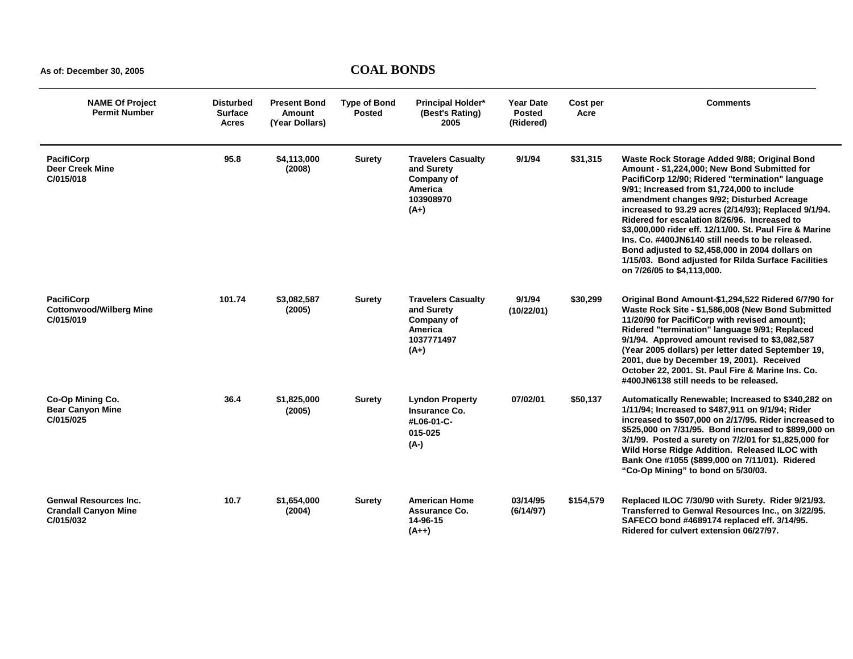| <b>NAME Of Project</b><br><b>Permit Number</b>                           | <b>Disturbed</b><br><b>Surface</b><br><b>Acres</b> | <b>Present Bond</b><br><b>Amount</b><br>(Year Dollars) | <b>Type of Bond</b><br><b>Posted</b> | <b>Principal Holder*</b><br>(Best's Rating)<br>2005                                      | <b>Year Date</b><br><b>Posted</b><br>(Ridered) | Cost per<br>Acre | <b>Comments</b>                                                                                                                                                                                                                                                                                                                                                                                                                                                                                                                                                                                            |
|--------------------------------------------------------------------------|----------------------------------------------------|--------------------------------------------------------|--------------------------------------|------------------------------------------------------------------------------------------|------------------------------------------------|------------------|------------------------------------------------------------------------------------------------------------------------------------------------------------------------------------------------------------------------------------------------------------------------------------------------------------------------------------------------------------------------------------------------------------------------------------------------------------------------------------------------------------------------------------------------------------------------------------------------------------|
| <b>PacifiCorp</b><br><b>Deer Creek Mine</b><br>C/015/018                 | 95.8                                               | \$4,113,000<br>(2008)                                  | <b>Surety</b>                        | <b>Travelers Casualty</b><br>and Surety<br>Company of<br>America<br>103908970<br>$(A+)$  | 9/1/94                                         | \$31,315         | Waste Rock Storage Added 9/88; Original Bond<br>Amount - \$1,224,000; New Bond Submitted for<br>PacifiCorp 12/90; Ridered "termination" language<br>9/91; Increased from \$1,724,000 to include<br>amendment changes 9/92; Disturbed Acreage<br>increased to 93.29 acres (2/14/93); Replaced 9/1/94.<br>Ridered for escalation 8/26/96. Increased to<br>\$3,000,000 rider eff. 12/11/00. St. Paul Fire & Marine<br>Ins. Co. #400JN6140 still needs to be released.<br>Bond adjusted to \$2,458,000 in 2004 dollars on<br>1/15/03. Bond adjusted for Rilda Surface Facilities<br>on 7/26/05 to \$4,113,000. |
| <b>PacifiCorp</b><br><b>Cottonwood/Wilberg Mine</b><br>C/015/019         | 101.74                                             | \$3,082,587<br>(2005)                                  | <b>Surety</b>                        | <b>Travelers Casualty</b><br>and Surety<br>Company of<br>America<br>1037771497<br>$(A+)$ | 9/1/94<br>(10/22/01)                           | \$30,299         | Original Bond Amount-\$1,294,522 Ridered 6/7/90 for<br>Waste Rock Site - \$1,586,008 (New Bond Submitted<br>11/20/90 for PacifiCorp with revised amount);<br>Ridered "termination" language 9/91; Replaced<br>9/1/94. Approved amount revised to \$3,082,587<br>(Year 2005 dollars) per letter dated September 19,<br>2001, due by December 19, 2001). Received<br>October 22, 2001. St. Paul Fire & Marine Ins. Co.<br>#400JN6138 still needs to be released.                                                                                                                                             |
| Co-Op Mining Co.<br><b>Bear Canyon Mine</b><br>C/015/025                 | 36.4                                               | \$1,825,000<br>(2005)                                  | <b>Surety</b>                        | <b>Lyndon Property</b><br>Insurance Co.<br>#L06-01-C-<br>015-025<br>(A-)                 | 07/02/01                                       | \$50,137         | Automatically Renewable; Increased to \$340,282 on<br>1/11/94; Increased to \$487,911 on 9/1/94; Rider<br>increased to \$507,000 on 2/17/95. Rider increased to<br>\$525,000 on 7/31/95. Bond increased to \$899,000 on<br>3/1/99. Posted a surety on 7/2/01 for \$1,825,000 for<br>Wild Horse Ridge Addition. Released ILOC with<br>Bank One #1055 (\$899,000 on 7/11/01). Ridered<br>"Co-Op Mining" to bond on 5/30/03.                                                                                                                                                                                  |
| <b>Genwal Resources Inc.</b><br><b>Crandall Canyon Mine</b><br>C/015/032 | 10.7                                               | \$1,654,000<br>(2004)                                  | Surety                               | <b>American Home</b><br>Assurance Co.<br>14-96-15<br>$(A++)$                             | 03/14/95<br>(6/14/97)                          | \$154,579        | Replaced ILOC 7/30/90 with Surety. Rider 9/21/93.<br>Transferred to Genwal Resources Inc., on 3/22/95.<br>SAFECO bond #4689174 replaced eff. 3/14/95.<br>Ridered for culvert extension 06/27/97.                                                                                                                                                                                                                                                                                                                                                                                                           |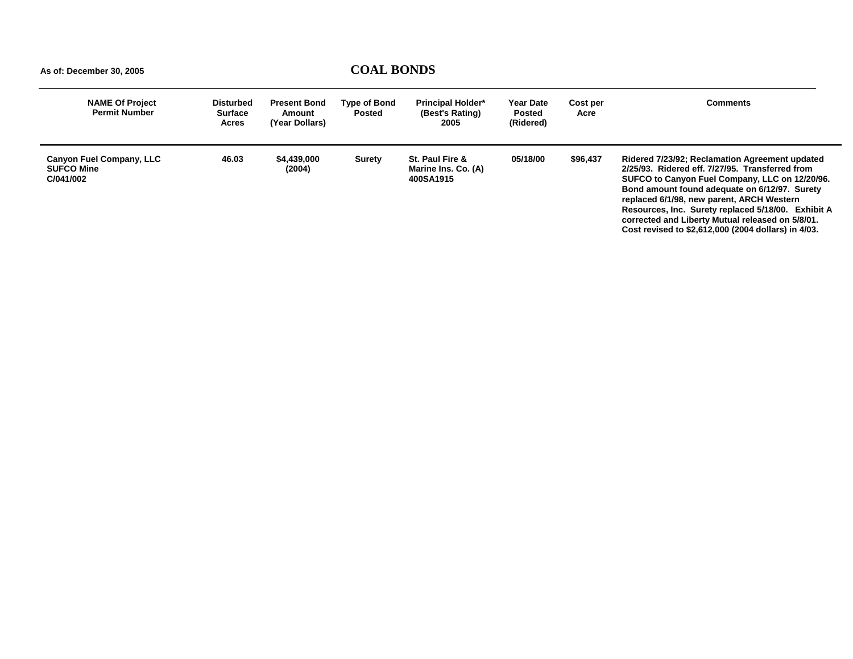| <b>NAME Of Project</b><br><b>Permit Number</b>                    | <b>Disturbed</b><br><b>Surface</b><br>Acres | <b>Present Bond</b><br>Amount<br>(Year Dollars) | Type of Bond<br><b>Posted</b> | <b>Principal Holder*</b><br>(Best's Rating)<br>2005 | <b>Year Date</b><br><b>Posted</b><br>(Ridered) | Cost per<br>Acre | <b>Comments</b>                                                                                                                                                                                                                                                                                                                                                                                                    |
|-------------------------------------------------------------------|---------------------------------------------|-------------------------------------------------|-------------------------------|-----------------------------------------------------|------------------------------------------------|------------------|--------------------------------------------------------------------------------------------------------------------------------------------------------------------------------------------------------------------------------------------------------------------------------------------------------------------------------------------------------------------------------------------------------------------|
| <b>Canyon Fuel Company, LLC</b><br><b>SUFCO Mine</b><br>C/041/002 | 46.03                                       | \$4,439,000<br>(2004)                           | Surety                        | St. Paul Fire &<br>Marine Ins. Co. (A)<br>400SA1915 | 05/18/00                                       | \$96.437         | Ridered 7/23/92; Reclamation Agreement updated<br>2/25/93. Ridered eff. 7/27/95. Transferred from<br>SUFCO to Canyon Fuel Company, LLC on 12/20/96.<br>Bond amount found adequate on 6/12/97. Surety<br>replaced 6/1/98, new parent, ARCH Western<br>Resources, Inc. Surety replaced 5/18/00. Exhibit A<br>corrected and Liberty Mutual released on 5/8/01.<br>Cost revised to \$2,612,000 (2004 dollars) in 4/03. |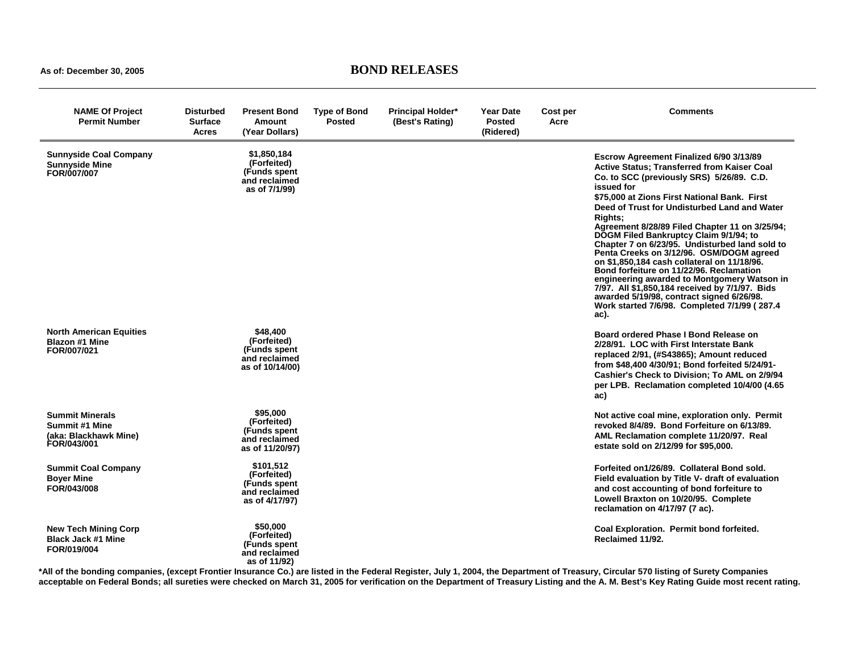**As of: December 30, 2005 BOND RELEASES** 

| <b>NAME Of Project</b><br><b>Permit Number</b>                                   | <b>Disturbed</b><br><b>Surface</b><br>Acres | <b>Present Bond</b><br>Amount<br>(Year Dollars)                              | <b>Type of Bond</b><br><b>Posted</b> | <b>Principal Holder*</b><br>(Best's Rating) | <b>Year Date</b><br><b>Posted</b><br>(Ridered) | Cost per<br>Acre | Comments                                                                                                                                                                                                                                                                                                                                                                                                                                                                                                                                                                                                                                                                                                                                                       |
|----------------------------------------------------------------------------------|---------------------------------------------|------------------------------------------------------------------------------|--------------------------------------|---------------------------------------------|------------------------------------------------|------------------|----------------------------------------------------------------------------------------------------------------------------------------------------------------------------------------------------------------------------------------------------------------------------------------------------------------------------------------------------------------------------------------------------------------------------------------------------------------------------------------------------------------------------------------------------------------------------------------------------------------------------------------------------------------------------------------------------------------------------------------------------------------|
| <b>Sunnyside Coal Company</b><br><b>Sunnyside Mine</b><br>FOR/007/007            |                                             | \$1.850.184<br>(Forfeited)<br>(Funds spent<br>and reclaimed<br>as of 7/1/99) |                                      |                                             |                                                |                  | Escrow Agreement Finalized 6/90 3/13/89<br>Active Status; Transferred from Kaiser Coal<br>Co. to SCC (previously SRS) 5/26/89. C.D.<br>issued for<br>\$75,000 at Zions First National Bank. First<br>Deed of Trust for Undisturbed Land and Water<br><b>Rights:</b><br>Agreement 8/28/89 Filed Chapter 11 on 3/25/94;<br>DOGM Filed Bankruptcy Claim 9/1/94; to<br>Chapter 7 on 6/23/95. Undisturbed land sold to<br>Penta Creeks on 3/12/96. OSM/DOGM agreed<br>on \$1,850,184 cash collateral on 11/18/96.<br>Bond forfeiture on 11/22/96. Reclamation<br>engineering awarded to Montgomery Watson in<br>7/97. All \$1,850,184 received by 7/1/97. Bids<br>awarded 5/19/98, contract signed 6/26/98.<br>Work started 7/6/98. Completed 7/1/99 (287.4<br>ac). |
| <b>North American Equities</b><br><b>Blazon #1 Mine</b><br>FOR/007/021           |                                             | \$48,400<br>(Forfeited)<br>(Funds spent)<br>and reclaimed<br>as of 10/14/00) |                                      |                                             |                                                |                  | Board ordered Phase I Bond Release on<br>2/28/91. LOC with First Interstate Bank<br>replaced 2/91, (#S43865); Amount reduced<br>from \$48,400 4/30/91; Bond forfeited 5/24/91-<br>Cashier's Check to Division: To AML on 2/9/94<br>per LPB. Reclamation completed 10/4/00 (4.65)<br>ac)                                                                                                                                                                                                                                                                                                                                                                                                                                                                        |
| <b>Summit Minerals</b><br>Summit #1 Mine<br>(aka: Blackhawk Mine)<br>FOR/043/001 |                                             | \$95,000<br>(Forfeited)<br>(Funds spent)<br>and reclaimed<br>as of 11/20/97) |                                      |                                             |                                                |                  | Not active coal mine, exploration only. Permit<br>revoked 8/4/89. Bond Forfeiture on 6/13/89.<br>AML Reclamation complete 11/20/97. Real<br>estate sold on 2/12/99 for \$95,000.                                                                                                                                                                                                                                                                                                                                                                                                                                                                                                                                                                               |
| <b>Summit Coal Company</b><br><b>Boyer Mine</b><br>FOR/043/008                   |                                             | \$101.512<br>(Forfeited)<br>(Funds spent<br>and reclaimed<br>as of 4/17/97)  |                                      |                                             |                                                |                  | Forfeited on 1/26/89. Collateral Bond sold.<br>Field evaluation by Title V- draft of evaluation<br>and cost accounting of bond forfeiture to<br>Lowell Braxton on 10/20/95. Complete<br>reclamation on 4/17/97 (7 ac).                                                                                                                                                                                                                                                                                                                                                                                                                                                                                                                                         |
| <b>New Tech Mining Corp</b><br><b>Black Jack #1 Mine</b><br>FOR/019/004          |                                             | \$50,000<br>(Forfeited)<br>(Funds spent<br>and reclaimed<br>as of 11/92)     |                                      |                                             |                                                |                  | Coal Exploration. Permit bond forfeited.<br>Reclaimed 11/92.                                                                                                                                                                                                                                                                                                                                                                                                                                                                                                                                                                                                                                                                                                   |

**\*All of the bonding companies, (except Frontier Insurance Co.) are listed in the Federal Register, July 1, 2004, the Department of Treasury, Circular 570 listing of Surety Companies acceptable on Federal Bonds; all sureties were checked on March 31, 2005 for verification on the Department of Treasury Listing and the A. M. Best's Key Rating Guide most recent rating.**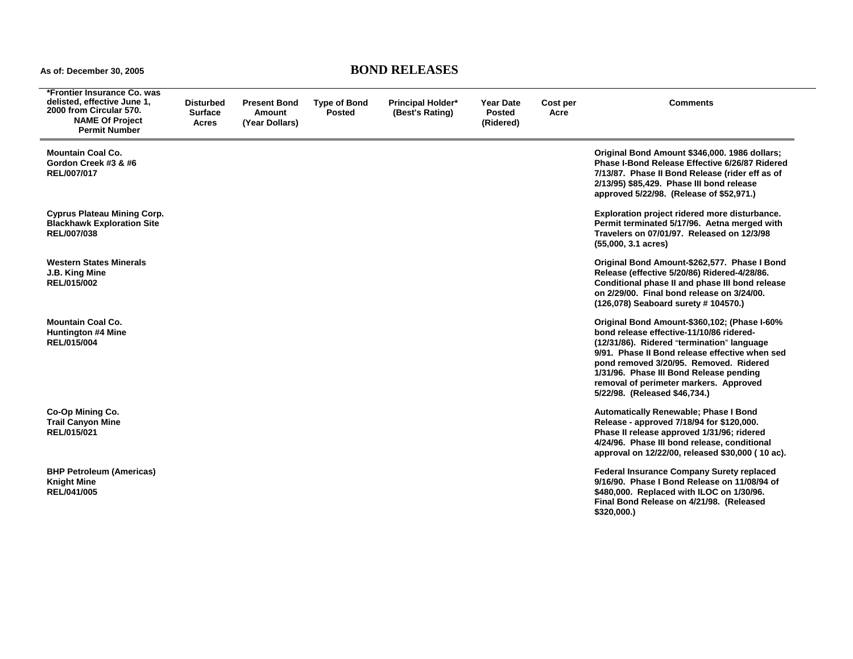## **As of: December 30, 2005 BOND RELEASES**

÷

| *Frontier Insurance Co. was<br>delisted, effective June 1,<br>2000 from Circular 570.<br><b>NAME Of Project</b><br><b>Permit Number</b> | Disturbed<br><b>Surface</b><br>Acres | <b>Present Bond</b><br>Amount<br>(Year Dollars) | <b>Type of Bond</b><br><b>Posted</b> | <b>Principal Holder*</b><br>(Best's Rating) | <b>Year Date</b><br><b>Posted</b><br>(Ridered) | Cost per<br>Acre | <b>Comments</b>                                                                                                                                                                                                                                                                                                                                          |
|-----------------------------------------------------------------------------------------------------------------------------------------|--------------------------------------|-------------------------------------------------|--------------------------------------|---------------------------------------------|------------------------------------------------|------------------|----------------------------------------------------------------------------------------------------------------------------------------------------------------------------------------------------------------------------------------------------------------------------------------------------------------------------------------------------------|
| <b>Mountain Coal Co.</b><br>Gordon Creek #3 & #6<br>REL/007/017                                                                         |                                      |                                                 |                                      |                                             |                                                |                  | Original Bond Amount \$346,000. 1986 dollars;<br>Phase I-Bond Release Effective 6/26/87 Ridered<br>7/13/87. Phase II Bond Release (rider eff as of<br>2/13/95) \$85,429. Phase III bond release<br>approved 5/22/98. (Release of \$52,971.)                                                                                                              |
| <b>Cyprus Plateau Mining Corp.</b><br><b>Blackhawk Exploration Site</b><br>REL/007/038                                                  |                                      |                                                 |                                      |                                             |                                                |                  | Exploration project ridered more disturbance.<br>Permit terminated 5/17/96. Aetna merged with<br>Travelers on 07/01/97. Released on 12/3/98<br>$(55,000, 3.1 \text{ acres})$                                                                                                                                                                             |
| <b>Western States Minerals</b><br>J.B. King Mine<br>REL/015/002                                                                         |                                      |                                                 |                                      |                                             |                                                |                  | Original Bond Amount-\$262,577. Phase I Bond<br>Release (effective 5/20/86) Ridered-4/28/86.<br>Conditional phase II and phase III bond release<br>on 2/29/00. Final bond release on 3/24/00.<br>(126,078) Seaboard surety # 104570.)                                                                                                                    |
| <b>Mountain Coal Co.</b><br><b>Huntington #4 Mine</b><br>REL/015/004                                                                    |                                      |                                                 |                                      |                                             |                                                |                  | Original Bond Amount-\$360,102; (Phase I-60%<br>bond release effective-11/10/86 ridered-<br>(12/31/86). Ridered "termination" language<br>9/91. Phase II Bond release effective when sed<br>pond removed 3/20/95. Removed. Ridered<br>1/31/96. Phase III Bond Release pending<br>removal of perimeter markers. Approved<br>5/22/98. (Released \$46,734.) |
| Co-Op Mining Co.<br><b>Trail Canyon Mine</b><br>REL/015/021                                                                             |                                      |                                                 |                                      |                                             |                                                |                  | <b>Automatically Renewable; Phase I Bond</b><br>Release - approved 7/18/94 for \$120,000.<br>Phase II release approved 1/31/96; ridered<br>4/24/96. Phase III bond release, conditional<br>approval on 12/22/00, released \$30,000 (10 ac).                                                                                                              |
| <b>BHP Petroleum (Americas)</b><br><b>Knight Mine</b><br>REL/041/005                                                                    |                                      |                                                 |                                      |                                             |                                                |                  | <b>Federal Insurance Company Surety replaced</b><br>9/16/90. Phase I Bond Release on 11/08/94 of<br>\$480,000. Replaced with ILOC on 1/30/96.<br>Final Bond Release on 4/21/98. (Released<br>\$320,000.                                                                                                                                                  |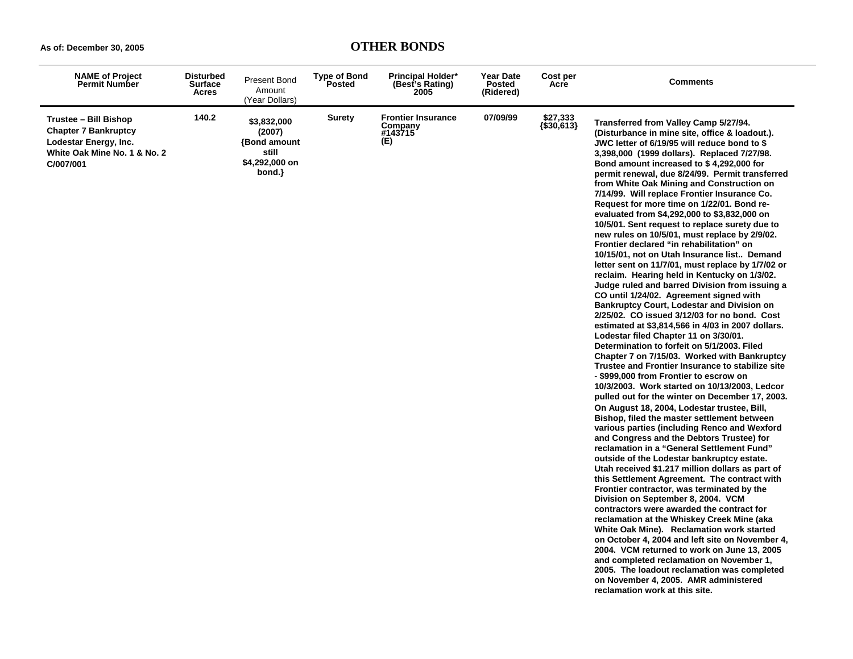| <b>NAME of Project</b><br><b>Permit Number</b>                                                                                    | <b>Disturbed</b><br><b>Surface</b><br><b>Acres</b> | Present Bond<br>Amount<br>(Year Dollars)                                          | <b>Type of Bond</b><br>Posted | <b>Principal Holder*</b><br>(Best's Rating)<br>2005    | Year Date<br><b>Posted</b><br>(Ridered) | Cost per<br>Acre       | <b>Comments</b>                                                                                                                                                                                                                                                                                                                                                                                                                                                                                                                                                                                                                                                                                                                                                                                                                                                                                                                                                                                                                                                                                                                                                                                                                                                                                                                                                                                                                                                                                                                                                                                                                                                                                                                                                                                                                                                                                                                                                                                                                                                                                                                                                                                                                                                                     |
|-----------------------------------------------------------------------------------------------------------------------------------|----------------------------------------------------|-----------------------------------------------------------------------------------|-------------------------------|--------------------------------------------------------|-----------------------------------------|------------------------|-------------------------------------------------------------------------------------------------------------------------------------------------------------------------------------------------------------------------------------------------------------------------------------------------------------------------------------------------------------------------------------------------------------------------------------------------------------------------------------------------------------------------------------------------------------------------------------------------------------------------------------------------------------------------------------------------------------------------------------------------------------------------------------------------------------------------------------------------------------------------------------------------------------------------------------------------------------------------------------------------------------------------------------------------------------------------------------------------------------------------------------------------------------------------------------------------------------------------------------------------------------------------------------------------------------------------------------------------------------------------------------------------------------------------------------------------------------------------------------------------------------------------------------------------------------------------------------------------------------------------------------------------------------------------------------------------------------------------------------------------------------------------------------------------------------------------------------------------------------------------------------------------------------------------------------------------------------------------------------------------------------------------------------------------------------------------------------------------------------------------------------------------------------------------------------------------------------------------------------------------------------------------------------|
| <b>Trustee - Bill Bishop</b><br><b>Chapter 7 Bankruptcy</b><br>Lodestar Energy, Inc.<br>White Oak Mine No. 1 & No. 2<br>C/007/001 | 140.2                                              | \$3,832,000<br>(2007)<br><b>{Bond amount</b><br>still<br>\$4,292,000 on<br>bond.} | Surety                        | <b>Frontier Insurance</b><br>Company<br>#143715<br>(E) | 07/09/99                                | \$27,333<br>{\$30,613} | Transferred from Valley Camp 5/27/94.<br>(Disturbance in mine site, office & loadout.).<br>JWC letter of 6/19/95 will reduce bond to \$<br>3,398,000 (1999 dollars). Replaced 7/27/98.<br>Bond amount increased to \$4,292,000 for<br>permit renewal, due 8/24/99. Permit transferred<br>from White Oak Mining and Construction on<br>7/14/99. Will replace Frontier Insurance Co.<br>Request for more time on 1/22/01. Bond re-<br>evaluated from \$4,292,000 to \$3,832,000 on<br>10/5/01. Sent request to replace surety due to<br>new rules on 10/5/01, must replace by 2/9/02.<br>Frontier declared "in rehabilitation" on<br>10/15/01, not on Utah Insurance list Demand<br>letter sent on 11/7/01, must replace by 1/7/02 or<br>reclaim. Hearing held in Kentucky on 1/3/02.<br>Judge ruled and barred Division from issuing a<br>CO until 1/24/02. Agreement signed with<br><b>Bankruptcy Court, Lodestar and Division on</b><br>2/25/02. CO issued 3/12/03 for no bond. Cost<br>estimated at \$3,814,566 in 4/03 in 2007 dollars.<br>Lodestar filed Chapter 11 on 3/30/01.<br>Determination to forfeit on 5/1/2003. Filed<br>Chapter 7 on 7/15/03. Worked with Bankruptcy<br>Trustee and Frontier Insurance to stabilize site<br>- \$999,000 from Frontier to escrow on<br>10/3/2003. Work started on 10/13/2003, Ledcor<br>pulled out for the winter on December 17, 2003.<br>On August 18, 2004, Lodestar trustee, Bill,<br>Bishop, filed the master settlement between<br>various parties (including Renco and Wexford<br>and Congress and the Debtors Trustee) for<br>reclamation in a "General Settlement Fund"<br>outside of the Lodestar bankruptcy estate.<br>Utah received \$1.217 million dollars as part of<br>this Settlement Agreement. The contract with<br>Frontier contractor, was terminated by the<br>Division on September 8, 2004. VCM<br>contractors were awarded the contract for<br>reclamation at the Whiskey Creek Mine (aka<br>White Oak Mine). Reclamation work started<br>on October 4, 2004 and left site on November 4,<br>2004. VCM returned to work on June 13, 2005<br>and completed reclamation on November 1,<br>2005. The loadout reclamation was completed<br>on November 4, 2005. AMR administered<br>reclamation work at this site. |